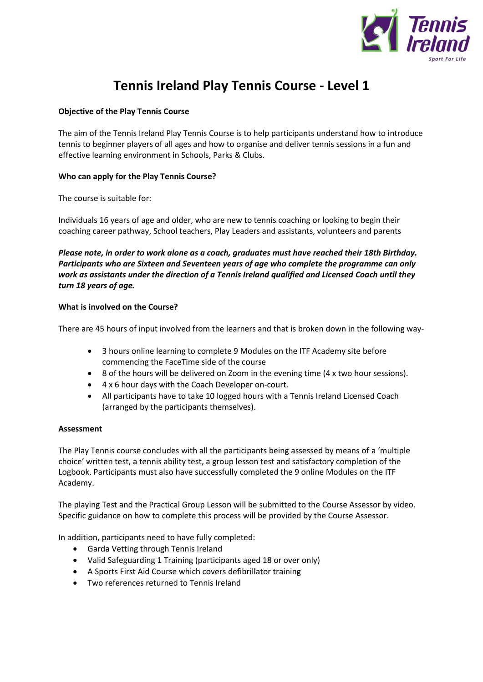

# **Tennis Ireland Play Tennis Course - Level 1**

# **Objective of the Play Tennis Course**

The aim of the Tennis Ireland Play Tennis Course is to help participants understand how to introduce tennis to beginner players of all ages and how to organise and deliver tennis sessions in a fun and effective learning environment in Schools, Parks & Clubs.

## **Who can apply for the Play Tennis Course?**

The course is suitable for:

Individuals 16 years of age and older, who are new to tennis coaching or looking to begin their coaching career pathway, School teachers, Play Leaders and assistants, volunteers and parents

*Please note, in order to work alone as a coach, graduates must have reached their 18th Birthday. Participants who are Sixteen and Seventeen years of age who complete the programme can only work as assistants under the direction of a Tennis Ireland qualified and Licensed Coach until they turn 18 years of age.*

#### **What is involved on the Course?**

There are 45 hours of input involved from the learners and that is broken down in the following way-

- 3 hours online learning to complete 9 Modules on the ITF Academy site before commencing the FaceTime side of the course
- 8 of the hours will be delivered on Zoom in the evening time (4 x two hour sessions).
- 4 x 6 hour days with the Coach Developer on-court.
- All participants have to take 10 logged hours with a Tennis Ireland Licensed Coach (arranged by the participants themselves).

#### **Assessment**

The Play Tennis course concludes with all the participants being assessed by means of a 'multiple choice' written test, a tennis ability test, a group lesson test and satisfactory completion of the Logbook. Participants must also have successfully completed the 9 online Modules on the ITF Academy.

The playing Test and the Practical Group Lesson will be submitted to the Course Assessor by video. Specific guidance on how to complete this process will be provided by the Course Assessor.

In addition, participants need to have fully completed:

- Garda Vetting through Tennis Ireland
- Valid Safeguarding 1 Training (participants aged 18 or over only)
- A Sports First Aid Course which covers defibrillator training
- Two references returned to Tennis Ireland